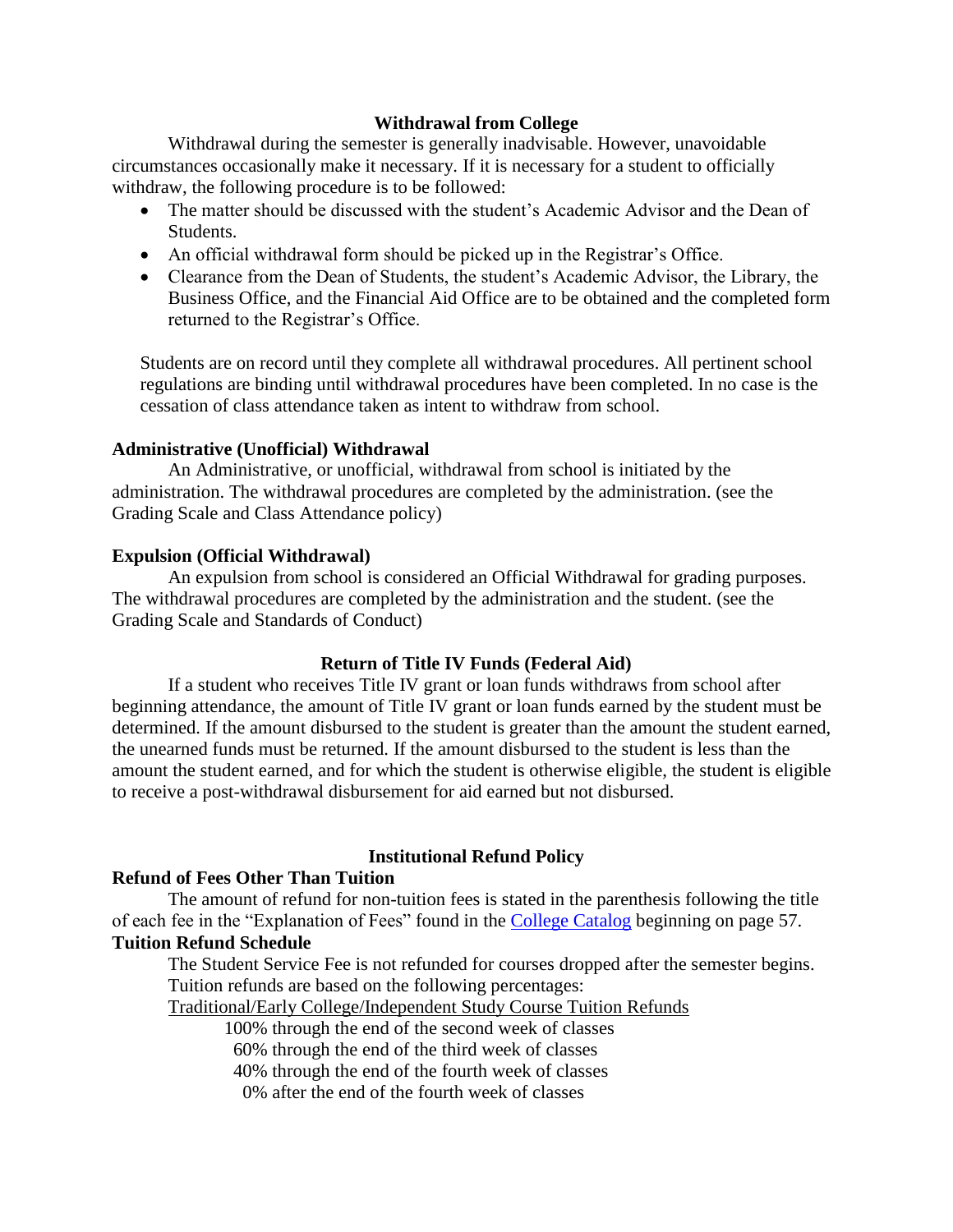# **Withdrawal from College**

Withdrawal during the semester is generally inadvisable. However, unavoidable circumstances occasionally make it necessary. If it is necessary for a student to officially withdraw, the following procedure is to be followed:

- The matter should be discussed with the student's Academic Advisor and the Dean of Students.
- An official withdrawal form should be picked up in the Registrar's Office.
- Clearance from the Dean of Students, the student's Academic Advisor, the Library, the Business Office, and the Financial Aid Office are to be obtained and the completed form returned to the Registrar's Office.

Students are on record until they complete all withdrawal procedures. All pertinent school regulations are binding until withdrawal procedures have been completed. In no case is the cessation of class attendance taken as intent to withdraw from school.

#### **Administrative (Unofficial) Withdrawal**

An Administrative, or unofficial, withdrawal from school is initiated by the administration. The withdrawal procedures are completed by the administration. (see the Grading Scale and Class Attendance policy)

#### **Expulsion (Official Withdrawal)**

An expulsion from school is considered an Official Withdrawal for grading purposes. The withdrawal procedures are completed by the administration and the student. (see the Grading Scale and Standards of Conduct)

# **Return of Title IV Funds (Federal Aid)**

If a student who receives Title IV grant or loan funds withdraws from school after beginning attendance, the amount of Title IV grant or loan funds earned by the student must be determined. If the amount disbursed to the student is greater than the amount the student earned, the unearned funds must be returned. If the amount disbursed to the student is less than the amount the student earned, and for which the student is otherwise eligible, the student is eligible to receive a post-withdrawal disbursement for aid earned but not disbursed.

# **Institutional Refund Policy**

# **Refund of Fees Other Than Tuition**

The amount of refund for non-tuition fees is stated in the parenthesis following the title of each fee in the "Explanation of Fees" found in the [College Catalog](http://www.calvary.edu/media/documents/collegecatalog.pdf) beginning on page 57. **Tuition Refund Schedule** 

The Student Service Fee is not refunded for courses dropped after the semester begins. Tuition refunds are based on the following percentages:

Traditional/Early College/Independent Study Course Tuition Refunds

100% through the end of the second week of classes

60% through the end of the third week of classes

40% through the end of the fourth week of classes

0% after the end of the fourth week of classes